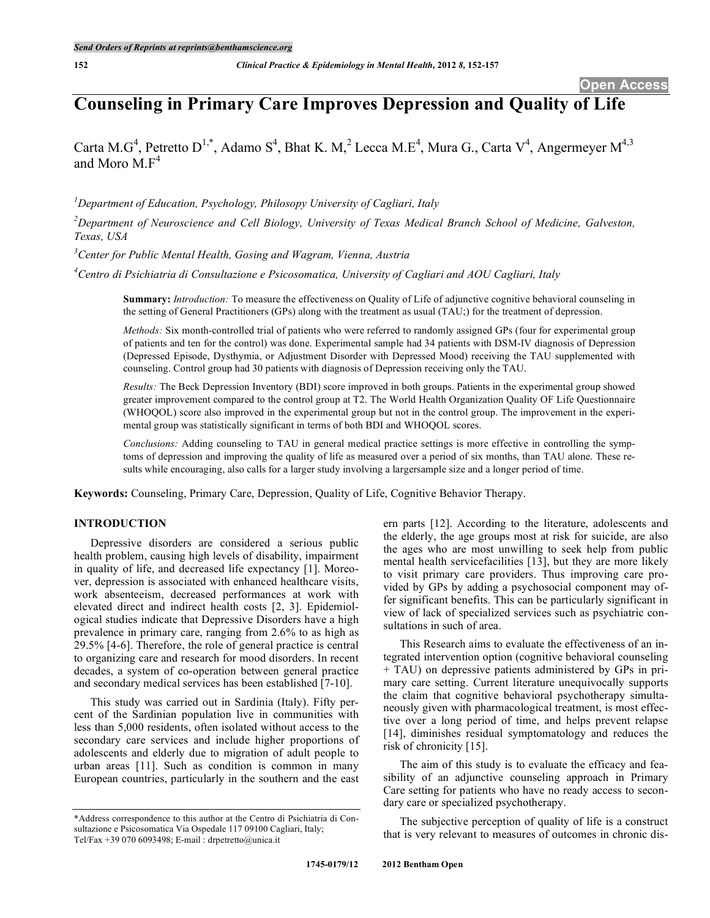# **Counseling in Primary Care Improves Depression and Quality of Life**

Carta M.G<sup>4</sup>, Petretto D<sup>1,\*</sup>, Adamo S<sup>4</sup>, Bhat K. M,<sup>2</sup> Lecca M.E<sup>4</sup>, Mura G., Carta V<sup>4</sup>, Angermeyer M<sup>4,3</sup> and Moro  $\overline{M} F^4$ 

*1 Department of Education, Psychology, Philosopy University of Cagliari, Italy*

*2 Department of Neuroscience and Cell Biology, University of Texas Medical Branch School of Medicine, Galveston, Texas, USA*

*3 Center for Public Mental Health, Gosing and Wagram, Vienna, Austria*

*4 Centro di Psichiatria di Consultazione e Psicosomatica, University of Cagliari and AOU Cagliari, Italy*

**Summary:** *Introduction:* To measure the effectiveness on Quality of Life of adjunctive cognitive behavioral counseling in the setting of General Practitioners (GPs) along with the treatment as usual (TAU;) for the treatment of depression.

*Methods:* Six month-controlled trial of patients who were referred to randomly assigned GPs (four for experimental group of patients and ten for the control) was done. Experimental sample had 34 patients with DSM-IV diagnosis of Depression (Depressed Episode, Dysthymia, or Adjustment Disorder with Depressed Mood) receiving the TAU supplemented with counseling. Control group had 30 patients with diagnosis of Depression receiving only the TAU.

*Results:* The Beck Depression Inventory (BDI) score improved in both groups. Patients in the experimental group showed greater improvement compared to the control group at T2. The World Health Organization Quality OF Life Questionnaire (WHOQOL) score also improved in the experimental group but not in the control group. The improvement in the experimental group was statistically significant in terms of both BDI and WHOQOL scores.

*Conclusions:* Adding counseling to TAU in general medical practice settings is more effective in controlling the symptoms of depression and improving the quality of life as measured over a period of six months, than TAU alone. These results while encouraging, also calls for a larger study involving a largersample size and a longer period of time.

**Keywords:** Counseling, Primary Care, Depression, Quality of Life, Cognitive Behavior Therapy.

# **INTRODUCTION**

Depressive disorders are considered a serious public health problem, causing high levels of disability, impairment in quality of life, and decreased life expectancy [1]. Moreover, depression is associated with enhanced healthcare visits, work absenteeism, decreased performances at work with elevated direct and indirect health costs [2, 3]. Epidemiological studies indicate that Depressive Disorders have a high prevalence in primary care, ranging from 2.6% to as high as 29.5% [4-6]. Therefore, the role of general practice is central to organizing care and research for mood disorders. In recent decades, a system of co-operation between general practice and secondary medical services has been established [7-10].

This study was carried out in Sardinia (Italy). Fifty percent of the Sardinian population live in communities with less than 5,000 residents, often isolated without access to the secondary care services and include higher proportions of adolescents and elderly due to migration of adult people to urban areas [11]. Such as condition is common in many European countries, particularly in the southern and the east

ern parts [12]. According to the literature, adolescents and the elderly, the age groups most at risk for suicide, are also the ages who are most unwilling to seek help from public mental health servicefacilities [13], but they are more likely to visit primary care providers. Thus improving care provided by GPs by adding a psychosocial component may offer significant benefits. This can be particularly significant in view of lack of specialized services such as psychiatric consultations in such of area.

This Research aims to evaluate the effectiveness of an integrated intervention option (cognitive behavioral counseling + TAU) on depressive patients administered by GPs in primary care setting. Current literature unequivocally supports the claim that cognitive behavioral psychotherapy simultaneously given with pharmacological treatment, is most effective over a long period of time, and helps prevent relapse [14], diminishes residual symptomatology and reduces the risk of chronicity [15].

The aim of this study is to evaluate the efficacy and feasibility of an adjunctive counseling approach in Primary Care setting for patients who have no ready access to secondary care or specialized psychotherapy.

The subjective perception of quality of life is a construct that is very relevant to measures of outcomes in chronic dis-

<sup>\*</sup>Address correspondence to this author at the Centro di Psichiatria di Consultazione e Psicosomatica Via Ospedale 117 09100 Cagliari, Italy; Tel/Fax +39 070 6093498; E-mail : drpetretto@unica.it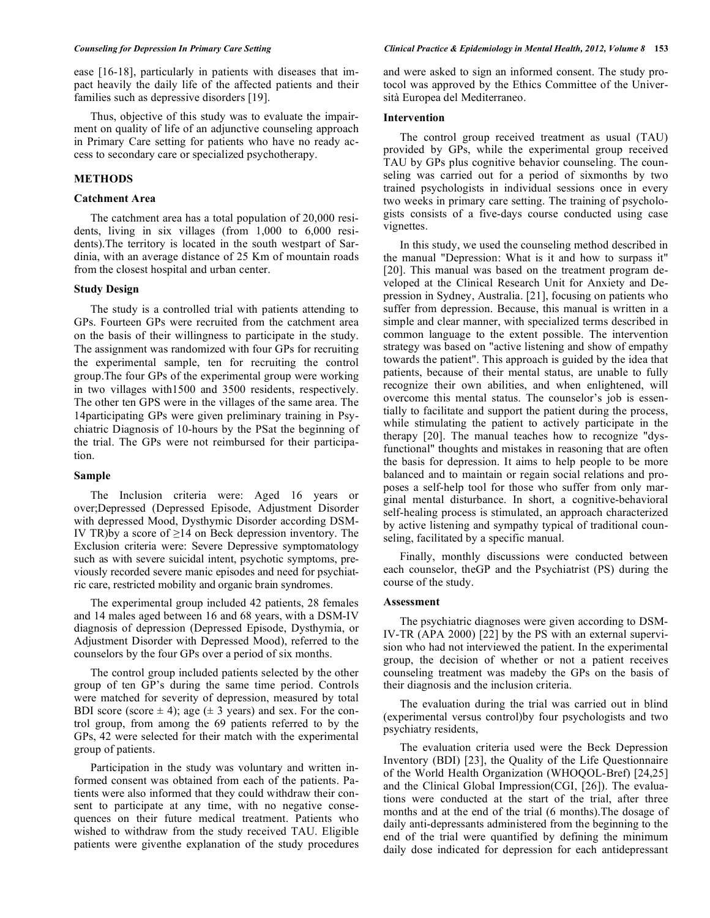ease [16-18], particularly in patients with diseases that impact heavily the daily life of the affected patients and their families such as depressive disorders [19].

Thus, objective of this study was to evaluate the impairment on quality of life of an adjunctive counseling approach in Primary Care setting for patients who have no ready access to secondary care or specialized psychotherapy.

# **METHODS**

#### **Catchment Area**

The catchment area has a total population of 20,000 residents, living in six villages (from 1,000 to 6,000 residents).The territory is located in the south westpart of Sardinia, with an average distance of 25 Km of mountain roads from the closest hospital and urban center.

#### **Study Design**

The study is a controlled trial with patients attending to GPs. Fourteen GPs were recruited from the catchment area on the basis of their willingness to participate in the study. The assignment was randomized with four GPs for recruiting the experimental sample, ten for recruiting the control group.The four GPs of the experimental group were working in two villages with1500 and 3500 residents, respectively. The other ten GPS were in the villages of the same area. The 14participating GPs were given preliminary training in Psychiatric Diagnosis of 10-hours by the PSat the beginning of the trial. The GPs were not reimbursed for their participation.

# **Sample**

The Inclusion criteria were: Aged 16 years or over;Depressed (Depressed Episode, Adjustment Disorder with depressed Mood, Dysthymic Disorder according DSM-IV TR)by a score of  $\geq$ 14 on Beck depression inventory. The Exclusion criteria were: Severe Depressive symptomatology such as with severe suicidal intent, psychotic symptoms, previously recorded severe manic episodes and need for psychiatric care, restricted mobility and organic brain syndromes.

The experimental group included 42 patients, 28 females and 14 males aged between 16 and 68 years, with a DSM-IV diagnosis of depression (Depressed Episode, Dysthymia, or Adjustment Disorder with Depressed Mood), referred to the counselors by the four GPs over a period of six months.

The control group included patients selected by the other group of ten GP's during the same time period. Controls were matched for severity of depression, measured by total BDI score (score  $\pm$  4); age ( $\pm$  3 years) and sex. For the control group, from among the 69 patients referred to by the GPs, 42 were selected for their match with the experimental group of patients.

Participation in the study was voluntary and written informed consent was obtained from each of the patients. Patients were also informed that they could withdraw their consent to participate at any time, with no negative consequences on their future medical treatment. Patients who wished to withdraw from the study received TAU. Eligible patients were giventhe explanation of the study procedures and were asked to sign an informed consent. The study protocol was approved by the Ethics Committee of the Università Europea del Mediterraneo.

#### **Intervention**

The control group received treatment as usual (TAU) provided by GPs, while the experimental group received TAU by GPs plus cognitive behavior counseling. The counseling was carried out for a period of sixmonths by two trained psychologists in individual sessions once in every two weeks in primary care setting. The training of psychologists consists of a five-days course conducted using case vignettes.

In this study, we used the counseling method described in the manual "Depression: What is it and how to surpass it" [20]. This manual was based on the treatment program developed at the Clinical Research Unit for Anxiety and Depression in Sydney, Australia. [21], focusing on patients who suffer from depression. Because, this manual is written in a simple and clear manner, with specialized terms described in common language to the extent possible. The intervention strategy was based on "active listening and show of empathy towards the patient". This approach is guided by the idea that patients, because of their mental status, are unable to fully recognize their own abilities, and when enlightened, will overcome this mental status. The counselor's job is essentially to facilitate and support the patient during the process, while stimulating the patient to actively participate in the therapy [20]. The manual teaches how to recognize "dysfunctional" thoughts and mistakes in reasoning that are often the basis for depression. It aims to help people to be more balanced and to maintain or regain social relations and proposes a self-help tool for those who suffer from only marginal mental disturbance. In short, a cognitive-behavioral self-healing process is stimulated, an approach characterized by active listening and sympathy typical of traditional counseling, facilitated by a specific manual.

Finally, monthly discussions were conducted between each counselor, theGP and the Psychiatrist (PS) during the course of the study.

#### **Assessment**

The psychiatric diagnoses were given according to DSM-IV-TR (APA 2000) [22] by the PS with an external supervision who had not interviewed the patient. In the experimental group, the decision of whether or not a patient receives counseling treatment was madeby the GPs on the basis of their diagnosis and the inclusion criteria.

The evaluation during the trial was carried out in blind (experimental versus control)by four psychologists and two psychiatry residents,

The evaluation criteria used were the Beck Depression Inventory (BDI) [23], the Quality of the Life Questionnaire of the World Health Organization (WHOQOL-Bref) [24,25] and the Clinical Global Impression(CGI, [26]). The evaluations were conducted at the start of the trial, after three months and at the end of the trial (6 months).The dosage of daily anti-depressants administered from the beginning to the end of the trial were quantified by defining the minimum daily dose indicated for depression for each antidepressant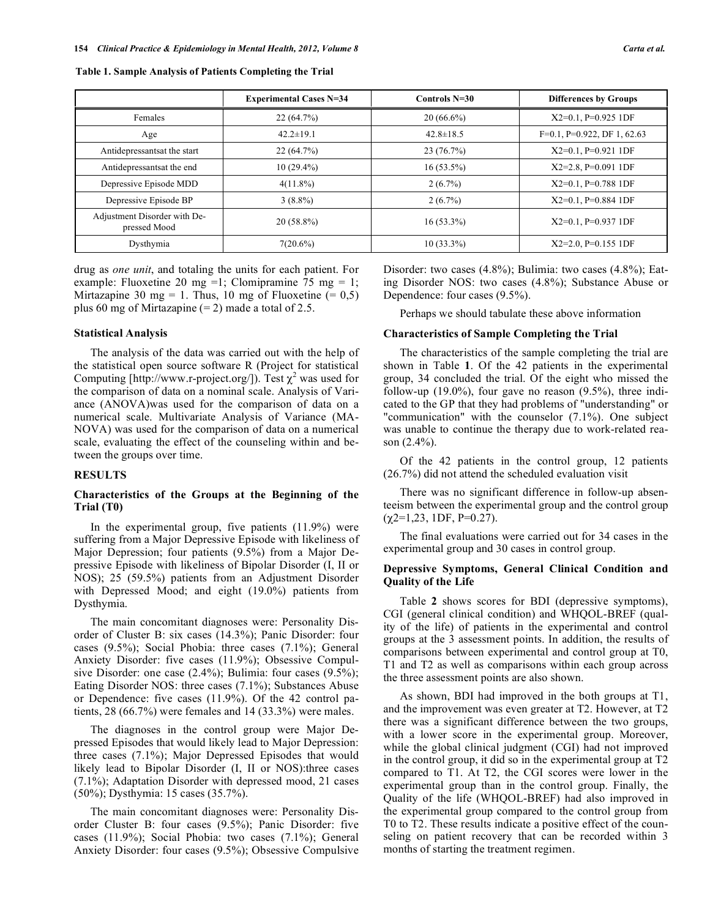**Table 1. Sample Analysis of Patients Completing the Trial**

|                                              | <b>Experimental Cases N=34</b> | Controls $N=30$ | <b>Differences by Groups</b>      |
|----------------------------------------------|--------------------------------|-----------------|-----------------------------------|
| Females                                      | 22(64.7%)                      | $20(66.6\%)$    | $X2=0.1$ , P=0.925 1DF            |
| Age                                          | $42.2 \pm 19.1$                | $42.8 \pm 18.5$ | $F=0.1$ , $P=0.922$ , DF 1, 62.63 |
| Antidepressantsat the start                  | 22(64.7%)                      | 23 (76.7%)      | $X2=0.1$ , P=0.921 1DF            |
| Antidepressantsat the end                    | $10(29.4\%)$                   | $16(53.5\%)$    | $X2=2.8$ , P=0.091 1DF            |
| Depressive Episode MDD                       | $4(11.8\%)$                    | $2(6.7\%)$      | $X2=0.1$ , P=0.788 1DF            |
| Depressive Episode BP                        | $3(8.8\%)$                     | $2(6.7\%)$      | $X2=0.1$ , P=0.884 1DF            |
| Adjustment Disorder with De-<br>pressed Mood | $20(58.8\%)$                   | $16(53.3\%)$    | $X2=0.1$ , P=0.937 1DF            |
| Dysthymia                                    | $7(20.6\%)$                    | $10(33.3\%)$    | $X2=2.0$ , P=0.155 1DF            |

drug as *one unit*, and totaling the units for each patient. For example: Fluoxetine 20 mg =1; Clomipramine 75 mg = 1; Mirtazapine 30 mg = 1. Thus, 10 mg of Fluoxetine  $(= 0.5)$ plus 60 mg of Mirtazapine  $(= 2)$  made a total of 2.5.

# **Statistical Analysis**

The analysis of the data was carried out with the help of the statistical open source software R (Project for statistical Computing [http://www.r-project.org/]). Test  $\chi^2$  was used for the comparison of data on a nominal scale. Analysis of Variance (ANOVA)was used for the comparison of data on a numerical scale. Multivariate Analysis of Variance (MA-NOVA) was used for the comparison of data on a numerical scale, evaluating the effect of the counseling within and between the groups over time.

# **RESULTS**

# **Characteristics of the Groups at the Beginning of the Trial (T0)**

In the experimental group, five patients (11.9%) were suffering from a Major Depressive Episode with likeliness of Major Depression; four patients (9.5%) from a Major Depressive Episode with likeliness of Bipolar Disorder (I, II or NOS); 25 (59.5%) patients from an Adjustment Disorder with Depressed Mood; and eight (19.0%) patients from Dysthymia.

The main concomitant diagnoses were: Personality Disorder of Cluster B: six cases (14.3%); Panic Disorder: four cases (9.5%); Social Phobia: three cases (7.1%); General Anxiety Disorder: five cases (11.9%); Obsessive Compulsive Disorder: one case (2.4%); Bulimia: four cases (9.5%); Eating Disorder NOS: three cases (7.1%); Substances Abuse or Dependence: five cases (11.9%). Of the 42 control patients, 28 (66.7%) were females and 14 (33.3%) were males.

The diagnoses in the control group were Major Depressed Episodes that would likely lead to Major Depression: three cases (7.1%); Major Depressed Episodes that would likely lead to Bipolar Disorder (I, II or NOS): three cases (7.1%); Adaptation Disorder with depressed mood, 21 cases (50%); Dysthymia: 15 cases (35.7%).

The main concomitant diagnoses were: Personality Disorder Cluster B: four cases (9.5%); Panic Disorder: five cases (11.9%); Social Phobia: two cases (7.1%); General Anxiety Disorder: four cases (9.5%); Obsessive Compulsive Disorder: two cases (4.8%); Bulimia: two cases (4.8%); Eating Disorder NOS: two cases (4.8%); Substance Abuse or Dependence: four cases (9.5%).

Perhaps we should tabulate these above information

# **Characteristics of Sample Completing the Trial**

The characteristics of the sample completing the trial are shown in Table **1**. Of the 42 patients in the experimental group, 34 concluded the trial. Of the eight who missed the follow-up  $(19.0\%)$ , four gave no reason  $(9.5\%)$ , three indicated to the GP that they had problems of "understanding" or "communication" with the counselor (7.1%). One subject was unable to continue the therapy due to work-related reason  $(2.4\%)$ .

Of the 42 patients in the control group, 12 patients (26.7%) did not attend the scheduled evaluation visit

There was no significant difference in follow-up absenteeism between the experimental group and the control group  $(\gamma 2=1, 23, 1DF, P=0.27)$ .

The final evaluations were carried out for 34 cases in the experimental group and 30 cases in control group.

## **Depressive Symptoms, General Clinical Condition and Quality of the Life**

Table **2** shows scores for BDI (depressive symptoms), CGI (general clinical condition) and WHQOL-BREF (quality of the life) of patients in the experimental and control groups at the 3 assessment points. In addition, the results of comparisons between experimental and control group at T0, T1 and T2 as well as comparisons within each group across the three assessment points are also shown.

As shown, BDI had improved in the both groups at T1, and the improvement was even greater at T2. However, at T2 there was a significant difference between the two groups, with a lower score in the experimental group. Moreover, while the global clinical judgment (CGI) had not improved in the control group, it did so in the experimental group at T2 compared to T1. At T2, the CGI scores were lower in the experimental group than in the control group. Finally, the Quality of the life (WHQOL-BREF) had also improved in the experimental group compared to the control group from T0 to T2. These results indicate a positive effect of the counseling on patient recovery that can be recorded within 3 months of starting the treatment regimen.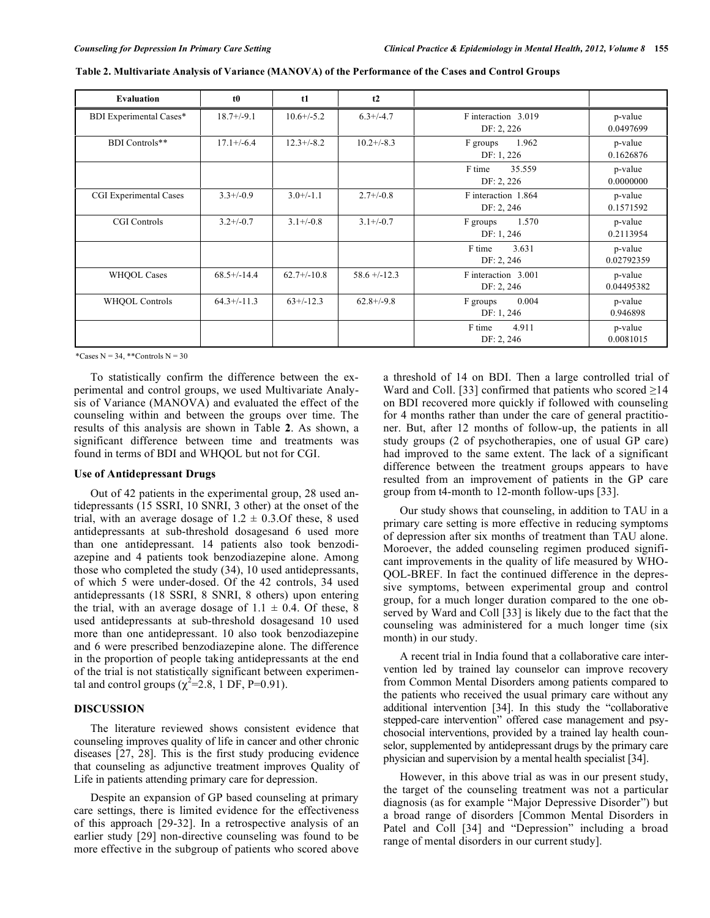| Evaluation              | t <sub>0</sub>  | t1              | t2              |                                                            |                       |
|-------------------------|-----------------|-----------------|-----------------|------------------------------------------------------------|-----------------------|
| BDI Experimental Cases* | $18.7 + (-9.1)$ | $10.6 + (-5.2)$ | $6.3 + (-4.7)$  | F interaction 3.019<br>DF: 2, 226                          | p-value<br>0.0497699  |
| BDI Controls**          | $17.1 + (-6.4)$ | $12.3 + (-8.2)$ | $10.2 + (-8.3)$ | 1.962<br>F groups<br>DF: 1, 226                            | p-value<br>0.1626876  |
|                         |                 |                 |                 | F time<br>35.559<br>DF: 2, 226                             | p-value<br>0.0000000  |
| CGI Experimental Cases  | $3.3+/0.9$      | $3.0+/1.1$      | $2.7 + (-0.8)$  | F interaction 1.864<br>DF: 2, 246                          | p-value<br>0.1571592  |
| CGI Controls            | $3.2 + (-0.7)$  | $3.1 + (-0.8)$  | $3.1 + (-0.7)$  | F groups<br>1.570<br>DF: 1, 246                            | p-value<br>0.2113954  |
|                         |                 |                 |                 | F time<br>3.631<br>DF: 2, 246                              | p-value<br>0.02792359 |
| <b>WHQOL Cases</b>      | $68.5+/-14.4$   | $62.7+/-10.8$   | $58.6 + -12.3$  | F interaction 3.001<br>p-value<br>0.04495382<br>DF: 2, 246 |                       |
| WHQOL Controls          | $64.3+/-11.3$   | $63+/-12.3$     | $62.8 + (-9.8)$ | 0.004<br>F groups<br>DF: 1, 246                            | p-value<br>0.946898   |
|                         |                 |                 |                 | F time<br>4.911<br>DF: 2, 246                              | p-value<br>0.0081015  |

|  | Table 2. Multivariate Analysis of Variance (MANOVA) of the Performance of the Cases and Control Groups |
|--|--------------------------------------------------------------------------------------------------------|
|  |                                                                                                        |

\*Cases  $N = 34$ , \*\*Controls  $N = 30$ 

To statistically confirm the difference between the experimental and control groups, we used Multivariate Analysis of Variance (MANOVA) and evaluated the effect of the counseling within and between the groups over time. The results of this analysis are shown in Table **2**. As shown, a significant difference between time and treatments was found in terms of BDI and WHQOL but not for CGI.

#### **Use of Antidepressant Drugs**

Out of 42 patients in the experimental group, 28 used antidepressants (15 SSRI, 10 SNRI, 3 other) at the onset of the trial, with an average dosage of  $1.2 \pm 0.3$ . Of these, 8 used antidepressants at sub-threshold dosagesand 6 used more than one antidepressant. 14 patients also took benzodiazepine and 4 patients took benzodiazepine alone. Among those who completed the study (34), 10 used antidepressants, of which 5 were under-dosed. Of the 42 controls, 34 used antidepressants (18 SSRI, 8 SNRI, 8 others) upon entering the trial, with an average dosage of  $1.1 \pm 0.4$ . Of these, 8 used antidepressants at sub-threshold dosagesand 10 used more than one antidepressant. 10 also took benzodiazepine and 6 were prescribed benzodiazepine alone. The difference in the proportion of people taking antidepressants at the end of the trial is not statistically significant between experimental and control groups  $(\chi^2=2.8, 1 \text{ DF}, \text{ P=0.91}).$ 

# **DISCUSSION**

The literature reviewed shows consistent evidence that counseling improves quality of life in cancer and other chronic diseases [27, 28]. This is the first study producing evidence that counseling as adjunctive treatment improves Quality of Life in patients attending primary care for depression.

Despite an expansion of GP based counseling at primary care settings, there is limited evidence for the effectiveness of this approach [29-32]. In a retrospective analysis of an earlier study [29] non-directive counseling was found to be more effective in the subgroup of patients who scored above a threshold of 14 on BDI. Then a large controlled trial of Ward and Coll. [33] confirmed that patients who scored  $\geq$ 14 on BDI recovered more quickly if followed with counseling for 4 months rather than under the care of general practitioner. But, after 12 months of follow-up, the patients in all study groups (2 of psychotherapies, one of usual GP care) had improved to the same extent. The lack of a significant difference between the treatment groups appears to have resulted from an improvement of patients in the GP care group from t4-month to 12-month follow-ups [33].

Our study shows that counseling, in addition to TAU in a primary care setting is more effective in reducing symptoms of depression after six months of treatment than TAU alone. Moroever, the added counseling regimen produced significant improvements in the quality of life measured by WHO-QOL-BREF. In fact the continued difference in the depressive symptoms, between experimental group and control group, for a much longer duration compared to the one observed by Ward and Coll [33] is likely due to the fact that the counseling was administered for a much longer time (six month) in our study.

A recent trial in India found that a collaborative care intervention led by trained lay counselor can improve recovery from Common Mental Disorders among patients compared to the patients who received the usual primary care without any additional intervention [34]. In this study the "collaborative stepped-care intervention" offered case management and psychosocial interventions, provided by a trained lay health counselor, supplemented by antidepressant drugs by the primary care physician and supervision by a mental health specialist [34].

However, in this above trial as was in our present study, the target of the counseling treatment was not a particular diagnosis (as for example "Major Depressive Disorder") but a broad range of disorders [Common Mental Disorders in Patel and Coll [34] and "Depression" including a broad range of mental disorders in our current study].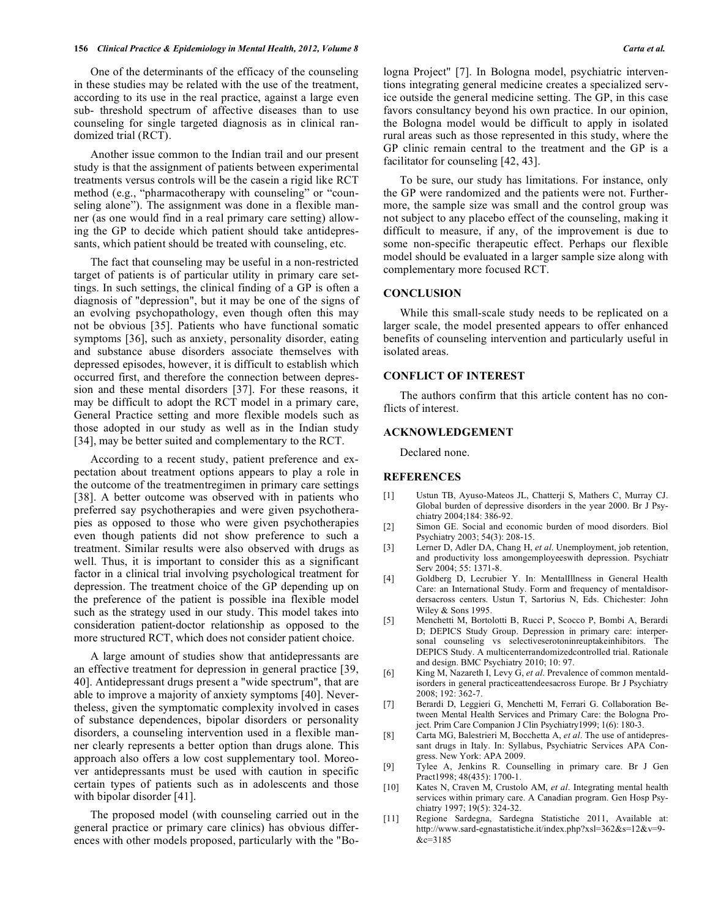#### **156** *Clinical Practice & Epidemiology in Mental Health, 2012, Volume 8 Carta et al.*

One of the determinants of the efficacy of the counseling in these studies may be related with the use of the treatment, according to its use in the real practice, against a large even sub- threshold spectrum of affective diseases than to use counseling for single targeted diagnosis as in clinical randomized trial (RCT).

Another issue common to the Indian trail and our present study is that the assignment of patients between experimental treatments versus controls will be the casein a rigid like RCT method (e.g., "pharmacotherapy with counseling" or "counseling alone"). The assignment was done in a flexible manner (as one would find in a real primary care setting) allowing the GP to decide which patient should take antidepressants, which patient should be treated with counseling, etc.

The fact that counseling may be useful in a non-restricted target of patients is of particular utility in primary care settings. In such settings, the clinical finding of a GP is often a diagnosis of "depression", but it may be one of the signs of an evolving psychopathology, even though often this may not be obvious [35]. Patients who have functional somatic symptoms [36], such as anxiety, personality disorder, eating and substance abuse disorders associate themselves with depressed episodes, however, it is difficult to establish which occurred first, and therefore the connection between depression and these mental disorders [37]. For these reasons, it may be difficult to adopt the RCT model in a primary care, General Practice setting and more flexible models such as those adopted in our study as well as in the Indian study [34], may be better suited and complementary to the RCT.

According to a recent study, patient preference and expectation about treatment options appears to play a role in the outcome of the treatmentregimen in primary care settings [38]. A better outcome was observed with in patients who preferred say psychotherapies and were given psychotherapies as opposed to those who were given psychotherapies even though patients did not show preference to such a treatment. Similar results were also observed with drugs as well. Thus, it is important to consider this as a significant factor in a clinical trial involving psychological treatment for depression. The treatment choice of the GP depending up on the preference of the patient is possible ina flexible model such as the strategy used in our study. This model takes into consideration patient-doctor relationship as opposed to the more structured RCT, which does not consider patient choice.

A large amount of studies show that antidepressants are an effective treatment for depression in general practice [39, 40]. Antidepressant drugs present a "wide spectrum", that are able to improve a majority of anxiety symptoms [40]. Nevertheless, given the symptomatic complexity involved in cases of substance dependences, bipolar disorders or personality disorders, a counseling intervention used in a flexible manner clearly represents a better option than drugs alone. This approach also offers a low cost supplementary tool. Moreover antidepressants must be used with caution in specific certain types of patients such as in adolescents and those with bipolar disorder [41].

The proposed model (with counseling carried out in the general practice or primary care clinics) has obvious differences with other models proposed, particularly with the "Bologna Project" [7]. In Bologna model, psychiatric interventions integrating general medicine creates a specialized service outside the general medicine setting. The GP, in this case favors consultancy beyond his own practice. In our opinion, the Bologna model would be difficult to apply in isolated rural areas such as those represented in this study, where the GP clinic remain central to the treatment and the GP is a facilitator for counseling [42, 43].

To be sure, our study has limitations. For instance, only the GP were randomized and the patients were not. Furthermore, the sample size was small and the control group was not subject to any placebo effect of the counseling, making it difficult to measure, if any, of the improvement is due to some non-specific therapeutic effect. Perhaps our flexible model should be evaluated in a larger sample size along with complementary more focused RCT.

# **CONCLUSION**

While this small-scale study needs to be replicated on a larger scale, the model presented appears to offer enhanced benefits of counseling intervention and particularly useful in isolated areas.

### **CONFLICT OF INTEREST**

The authors confirm that this article content has no conflicts of interest.

# **ACKNOWLEDGEMENT**

Declared none.

#### **REFERENCES**

- [1] Ustun TB, Ayuso-Mateos JL, Chatterji S, Mathers C, Murray CJ. Global burden of depressive disorders in the year 2000. Br J Psychiatry 2004;184: 386-92.
- [2] Simon GE. Social and economic burden of mood disorders. Biol Psychiatry 2003; 54(3): 208-15.
- [3] Lerner D, Adler DA, Chang H, *et al*. Unemployment, job retention, and productivity loss amongemployeeswith depression. Psychiatr Serv 2004; 55: 1371-8.
- [4] Goldberg D, Lecrubier Y. In: MentalIllness in General Health Care: an International Study. Form and frequency of mentaldisordersacross centers. Ustun T, Sartorius N, Eds. Chichester: John Wiley & Sons 1995.
- [5] Menchetti M, Bortolotti B, Rucci P, Scocco P, Bombi A, Berardi D; DEPICS Study Group. Depression in primary care: interpersonal counseling vs selectiveserotoninreuptakeinhibitors. The DEPICS Study. A multicenterrandomizedcontrolled trial. Rationale and design. BMC Psychiatry 2010; 10: 97.
- [6] King M, Nazareth I, Levy G, *et al*. Prevalence of common mentaldisorders in general practiceattendeesacross Europe. Br J Psychiatry 2008; 192: 362-7.
- [7] Berardi D, Leggieri G, Menchetti M, Ferrari G. Collaboration Between Mental Health Services and Primary Care: the Bologna Project. Prim Care Companion J Clin Psychiatry1999; 1(6): 180-3.
- [8] Carta MG, Balestrieri M, Bocchetta A, *et al*. The use of antidepressant drugs in Italy. In: Syllabus, Psychiatric Services APA Congress. New York: APA 2009.
- [9] Tylee A, Jenkins R. Counselling in primary care. Br J Gen Pract1998; 48(435): 1700-1.
- [10] Kates N, Craven M, Crustolo AM, *et al*. Integrating mental health services within primary care. A Canadian program. Gen Hosp Psychiatry 1997; 19(5): 324-32.
- [11] Regione Sardegna, Sardegna Statistiche 2011, Available at: http://www.sard-egnastatistiche.it/index.php?xsl=362&s=12&v=9-  $&c=3185$